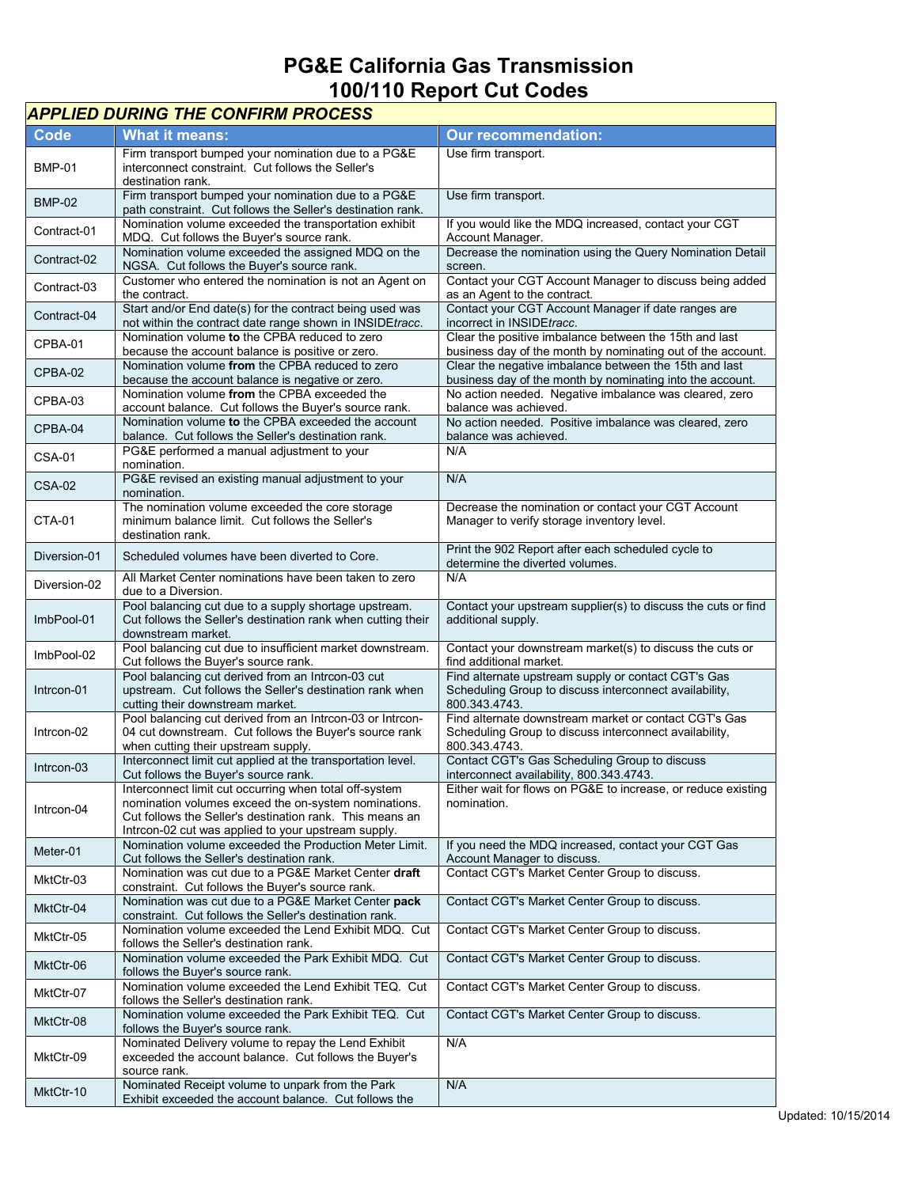## **PG&E California Gas Transmission 100/110 Report Cut Codes**

| <b>APPLIED DURING THE CONFIRM PROCESS</b> |                                                                                                                                                                                                                                   |                                                                                                                                  |  |
|-------------------------------------------|-----------------------------------------------------------------------------------------------------------------------------------------------------------------------------------------------------------------------------------|----------------------------------------------------------------------------------------------------------------------------------|--|
| Code                                      | <b>What it means:</b>                                                                                                                                                                                                             | <b>Our recommendation:</b>                                                                                                       |  |
| <b>BMP-01</b>                             | Firm transport bumped your nomination due to a PG&E<br>interconnect constraint. Cut follows the Seller's<br>destination rank.                                                                                                     | Use firm transport.                                                                                                              |  |
| <b>BMP-02</b>                             | Firm transport bumped your nomination due to a PG&E<br>path constraint. Cut follows the Seller's destination rank.                                                                                                                | Use firm transport.                                                                                                              |  |
| Contract-01                               | Nomination volume exceeded the transportation exhibit<br>MDQ. Cut follows the Buyer's source rank.                                                                                                                                | If you would like the MDQ increased, contact your CGT<br>Account Manager.                                                        |  |
| Contract-02                               | Nomination volume exceeded the assigned MDQ on the<br>NGSA. Cut follows the Buyer's source rank.                                                                                                                                  | Decrease the nomination using the Query Nomination Detail<br>screen.                                                             |  |
| Contract-03                               | Customer who entered the nomination is not an Agent on<br>the contract.                                                                                                                                                           | Contact your CGT Account Manager to discuss being added<br>as an Agent to the contract.                                          |  |
| Contract-04                               | Start and/or End date(s) for the contract being used was<br>not within the contract date range shown in INSIDEtracc.                                                                                                              | Contact your CGT Account Manager if date ranges are<br>incorrect in INSIDEtracc.                                                 |  |
| CPBA-01                                   | Nomination volume to the CPBA reduced to zero<br>because the account balance is positive or zero.                                                                                                                                 | Clear the positive imbalance between the 15th and last<br>business day of the month by nominating out of the account.            |  |
| CPBA-02                                   | Nomination volume from the CPBA reduced to zero<br>because the account balance is negative or zero.                                                                                                                               | Clear the negative imbalance between the 15th and last<br>business day of the month by nominating into the account.              |  |
| CPBA-03                                   | Nomination volume from the CPBA exceeded the<br>account balance. Cut follows the Buyer's source rank.                                                                                                                             | No action needed. Negative imbalance was cleared, zero<br>balance was achieved.                                                  |  |
| CPBA-04                                   | Nomination volume to the CPBA exceeded the account<br>balance. Cut follows the Seller's destination rank.                                                                                                                         | No action needed. Positive imbalance was cleared, zero<br>balance was achieved.                                                  |  |
| <b>CSA-01</b>                             | PG&E performed a manual adjustment to your<br>nomination.                                                                                                                                                                         | N/A                                                                                                                              |  |
| <b>CSA-02</b>                             | PG&E revised an existing manual adjustment to your<br>nomination.                                                                                                                                                                 | N/A                                                                                                                              |  |
| <b>CTA-01</b>                             | The nomination volume exceeded the core storage<br>minimum balance limit. Cut follows the Seller's<br>destination rank.                                                                                                           | Decrease the nomination or contact your CGT Account<br>Manager to verify storage inventory level.                                |  |
| Diversion-01                              | Scheduled volumes have been diverted to Core.                                                                                                                                                                                     | Print the 902 Report after each scheduled cycle to<br>determine the diverted volumes.                                            |  |
| Diversion-02                              | All Market Center nominations have been taken to zero<br>due to a Diversion.                                                                                                                                                      | N/A                                                                                                                              |  |
| ImbPool-01                                | Pool balancing cut due to a supply shortage upstream.<br>Cut follows the Seller's destination rank when cutting their<br>downstream market.                                                                                       | Contact your upstream supplier(s) to discuss the cuts or find<br>additional supply.                                              |  |
| ImbPool-02                                | Pool balancing cut due to insufficient market downstream.<br>Cut follows the Buyer's source rank.                                                                                                                                 | Contact your downstream market(s) to discuss the cuts or<br>find additional market.                                              |  |
| Intrcon-01                                | Pool balancing cut derived from an Intrcon-03 cut<br>upstream. Cut follows the Seller's destination rank when<br>cutting their downstream market.                                                                                 | Find alternate upstream supply or contact CGT's Gas<br>Scheduling Group to discuss interconnect availability,<br>800.343.4743.   |  |
| Intrcon-02                                | Pool balancing cut derived from an Intrcon-03 or Intrcon-<br>04 cut downstream. Cut follows the Buyer's source rank<br>when cutting their upstream supply.                                                                        | Find alternate downstream market or contact CGT's Gas<br>Scheduling Group to discuss interconnect availability,<br>800.343.4743. |  |
| Intrcon-03                                | Interconnect limit cut applied at the transportation level.<br>Cut follows the Buyer's source rank.                                                                                                                               | Contact CGT's Gas Scheduling Group to discuss<br>interconnect availability, 800.343.4743.                                        |  |
| Intrcon-04                                | Interconnect limit cut occurring when total off-system<br>nomination volumes exceed the on-system nominations.<br>Cut follows the Seller's destination rank. This means an<br>Intrcon-02 cut was applied to your upstream supply. | Either wait for flows on PG&E to increase, or reduce existing<br>nomination.                                                     |  |
| Meter-01                                  | Nomination volume exceeded the Production Meter Limit.<br>Cut follows the Seller's destination rank.                                                                                                                              | If you need the MDQ increased, contact your CGT Gas<br>Account Manager to discuss.                                               |  |
| MktCtr-03                                 | Nomination was cut due to a PG&E Market Center draft<br>constraint. Cut follows the Buyer's source rank.                                                                                                                          | Contact CGT's Market Center Group to discuss.                                                                                    |  |
| MktCtr-04                                 | Nomination was cut due to a PG&E Market Center pack<br>constraint. Cut follows the Seller's destination rank.                                                                                                                     | Contact CGT's Market Center Group to discuss.                                                                                    |  |
| MktCtr-05                                 | Nomination volume exceeded the Lend Exhibit MDQ. Cut<br>follows the Seller's destination rank.                                                                                                                                    | Contact CGT's Market Center Group to discuss.                                                                                    |  |
| MktCtr-06                                 | Nomination volume exceeded the Park Exhibit MDQ. Cut<br>follows the Buyer's source rank.                                                                                                                                          | Contact CGT's Market Center Group to discuss.                                                                                    |  |
| MktCtr-07                                 | Nomination volume exceeded the Lend Exhibit TEQ. Cut<br>follows the Seller's destination rank.                                                                                                                                    | Contact CGT's Market Center Group to discuss.                                                                                    |  |
| MktCtr-08                                 | Nomination volume exceeded the Park Exhibit TEQ. Cut<br>follows the Buyer's source rank.                                                                                                                                          | Contact CGT's Market Center Group to discuss.                                                                                    |  |
| MktCtr-09                                 | Nominated Delivery volume to repay the Lend Exhibit<br>exceeded the account balance. Cut follows the Buyer's<br>source rank.                                                                                                      | N/A                                                                                                                              |  |
| MktCtr-10                                 | Nominated Receipt volume to unpark from the Park<br>Exhibit exceeded the account balance. Cut follows the                                                                                                                         | N/A                                                                                                                              |  |

٦